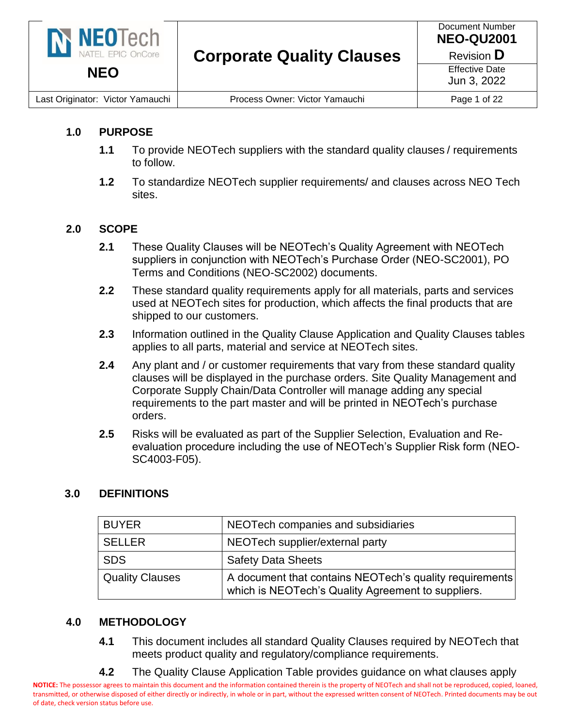

#### **1.0 PURPOSE**

- **1.1** To provide NEOTech suppliers with the standard quality clauses / requirements to follow.
- **1.2** To standardize NEOTech supplier requirements/ and clauses across NEO Tech sites.

#### **2.0 SCOPE**

- **2.1** These Quality Clauses will be NEOTech's Quality Agreement with NEOTech suppliers in conjunction with NEOTech's Purchase Order (NEO-SC2001), PO Terms and Conditions (NEO-SC2002) documents.
- **2.2** These standard quality requirements apply for all materials, parts and services used at NEOTech sites for production, which affects the final products that are shipped to our customers.
- **2.3** Information outlined in the Quality Clause Application and Quality Clauses tables applies to all parts, material and service at NEOTech sites.
- **2.4** Any plant and / or customer requirements that vary from these standard quality clauses will be displayed in the purchase orders. Site Quality Management and Corporate Supply Chain/Data Controller will manage adding any special requirements to the part master and will be printed in NEOTech's purchase orders.
- **2.5** Risks will be evaluated as part of the Supplier Selection, Evaluation and Reevaluation procedure including the use of NEOTech's Supplier Risk form (NEO-SC4003-F05).

#### **3.0 DEFINITIONS**

| <b>BUYER</b>           | NEOTech companies and subsidiaries                                                                            |
|------------------------|---------------------------------------------------------------------------------------------------------------|
| <b>SELLER</b>          | NEOTech supplier/external party                                                                               |
| <b>SDS</b>             | <b>Safety Data Sheets</b>                                                                                     |
| <b>Quality Clauses</b> | A document that contains NEOTech's quality requirements<br>which is NEOTech's Quality Agreement to suppliers. |

#### **4.0 METHODOLOGY**

- **4.1** This document includes all standard Quality Clauses required by NEOTech that meets product quality and regulatory/compliance requirements.
- **4.2** The Quality Clause Application Table provides guidance on what clauses apply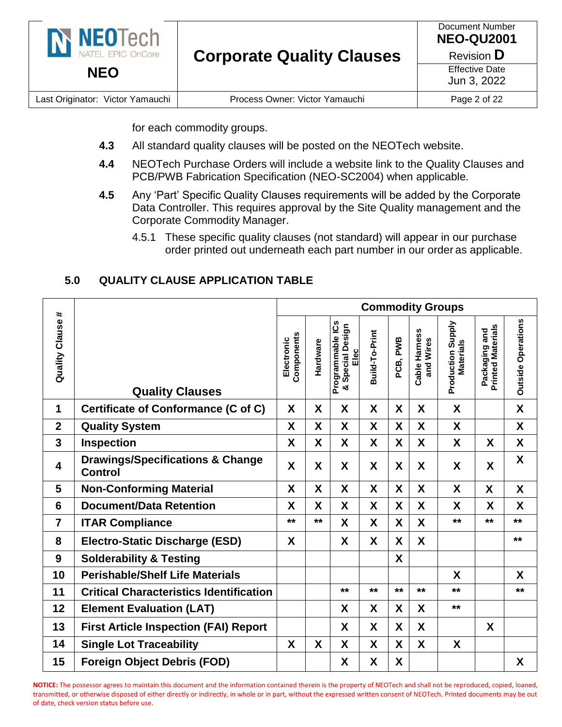| N NEOTech<br>NATEL EPIC OnCore   | <b>Corporate Quality Clauses</b> | Document Number<br><b>NEO-QU2001</b><br>Revision <b>D</b> |
|----------------------------------|----------------------------------|-----------------------------------------------------------|
| <b>NEO</b>                       |                                  | <b>Effective Date</b><br>Jun 3, 2022                      |
| Last Originator: Victor Yamauchi | Process Owner: Victor Yamauchi   | Page 2 of 22                                              |

for each commodity groups.

- **4.3** All standard quality clauses will be posted on the NEOTech website.
- **4.4** NEOTech Purchase Orders will include a website link to the Quality Clauses and PCB/PWB Fabrication Specification (NEO-SC2004) when applicable.
- **4.5** Any 'Part' Specific Quality Clauses requirements will be added by the Corporate Data Controller. This requires approval by the Site Quality management and the Corporate Commodity Manager.
	- 4.5.1 These specific quality clauses (not standard) will appear in our purchase order printed out underneath each part number in our order as applicable.

#### **5.0 QUALITY CLAUSE APPLICATION TABLE**

| #              |                                                               | <b>Commodity Groups</b>  |          |                                                        |                |          |                            |                                       |                                           |                           |
|----------------|---------------------------------------------------------------|--------------------------|----------|--------------------------------------------------------|----------------|----------|----------------------------|---------------------------------------|-------------------------------------------|---------------------------|
| Quality Clause | <b>Quality Clauses</b>                                        | Components<br>Electronic | Hardware | Programmable ICs<br><b>Special Design</b><br>Elec<br>య | Build-To-Print | PCB, PWB | Cable Harness<br>and Wires | Production Supply<br><b>Materials</b> | <b>Printed Materials</b><br>Packaging and | <b>Outside Operations</b> |
| 1              | <b>Certificate of Conformance (C of C)</b>                    | X                        | X        | X                                                      | X              | X        | X                          | X                                     |                                           | X                         |
| $\overline{2}$ | <b>Quality System</b>                                         | X                        | X        | X                                                      | X              | X        | X                          | X                                     |                                           | X                         |
| 3              | Inspection                                                    | X                        | X        | X                                                      | X              | X        | X                          | X                                     | X                                         | X                         |
| 4              | <b>Drawings/Specifications &amp; Change</b><br><b>Control</b> | $\boldsymbol{X}$         | X        | X                                                      | X              | X        | X                          | X                                     | X                                         | X                         |
| 5              | <b>Non-Conforming Material</b>                                | X                        | X        | X                                                      | X              | X        | X                          | X                                     | X                                         | X                         |
| 6              | <b>Document/Data Retention</b>                                | X                        | X        | X                                                      | X              | X        | X                          | X                                     | X                                         | X                         |
| $\overline{7}$ | <b>ITAR Compliance</b>                                        | $***$                    | $***$    | X                                                      | X              | X        | X                          | **                                    | $**$                                      | $***$                     |
| 8              | <b>Electro-Static Discharge (ESD)</b>                         | X                        |          | X                                                      | X              | X        | X                          |                                       |                                           | $***$                     |
| 9              | <b>Solderability &amp; Testing</b>                            |                          |          |                                                        |                | X        |                            |                                       |                                           |                           |
| 10             | <b>Perishable/Shelf Life Materials</b>                        |                          |          |                                                        |                |          |                            | X                                     |                                           | X                         |
| 11             | <b>Critical Characteristics Identification</b>                |                          |          | $***$                                                  | $***$          | $***$    | $***$                      | $***$                                 |                                           | $***$                     |
| 12             | <b>Element Evaluation (LAT)</b>                               |                          |          | X                                                      | X              | X        | X                          | $**$                                  |                                           |                           |
| 13             | <b>First Article Inspection (FAI) Report</b>                  |                          |          | X                                                      | X              | X        | X                          |                                       | X                                         |                           |
| 14             | <b>Single Lot Traceability</b>                                | X                        | X        | X                                                      | X              | X        | X                          | X                                     |                                           |                           |
| 15             | <b>Foreign Object Debris (FOD)</b>                            |                          |          | X                                                      | X              | X        |                            |                                       |                                           | X                         |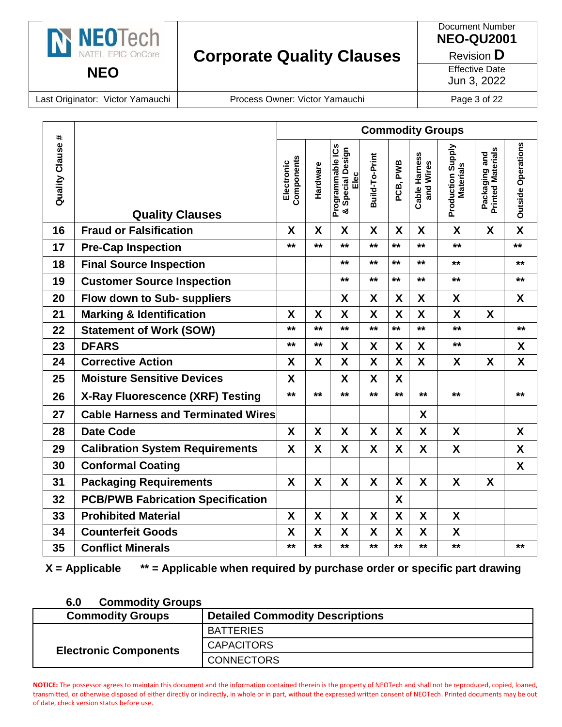

Document Number **NEO-QU2001**

Revision **D**

Effective Date

Jun 3, 2022

Last Originator: Victor Yamauchi | Process Owner: Victor Yamauchi | Page 3 of 22

| $\ddagger$            |                                                    |                                                                          |                          |                    |                                              |                |                  | <b>Commodity Groups</b>    |                                       |                                           |                           |
|-----------------------|----------------------------------------------------|--------------------------------------------------------------------------|--------------------------|--------------------|----------------------------------------------|----------------|------------------|----------------------------|---------------------------------------|-------------------------------------------|---------------------------|
| <b>Quality Clause</b> | <b>Quality Clauses</b>                             |                                                                          | Components<br>Electronic | Hardware           | Programmable ICs<br>& Special Design<br>Elec | Build-To-Print | PCB, PWB         | Cable Harness<br>and Wires | Production Supply<br><b>Materials</b> | <b>Printed Materials</b><br>Packaging and | <b>Outside Operations</b> |
| 16                    | <b>Fraud or Falsification</b>                      |                                                                          | X                        | X                  | X                                            | X              | X                | X                          | X                                     | X                                         | $\boldsymbol{X}$          |
| 17                    | <b>Pre-Cap Inspection</b>                          |                                                                          | **                       | $***$              | $***$                                        | $***$          | $***$            | $***$                      | $***$                                 |                                           | $***$                     |
| 18                    | <b>Final Source Inspection</b>                     |                                                                          |                          |                    | $***$                                        | $***$          | $***$            | $***$                      | **                                    |                                           | $***$                     |
| 19                    | <b>Customer Source Inspection</b>                  |                                                                          |                          |                    | $***$                                        | $***$          | $***$            | $***$                      | **                                    |                                           | $***$                     |
| 20                    | Flow down to Sub- suppliers                        |                                                                          |                          |                    | X                                            | X              | X                | X                          | X                                     |                                           | X                         |
| 21                    | <b>Marking &amp; Identification</b>                |                                                                          | X                        | $\boldsymbol{X}$   | $\boldsymbol{X}$                             | X              | $\boldsymbol{X}$ | X                          | X                                     | X                                         |                           |
| 22                    | <b>Statement of Work (SOW)</b>                     |                                                                          | $\star\star$             | $***$              | $***$                                        | $***$          | $***$            | $***$                      | $***$                                 |                                           | $***$                     |
| 23                    | <b>DFARS</b>                                       |                                                                          | **                       | $***$              | X                                            | X              | X                | X                          | $***$                                 |                                           | X                         |
| 24                    | <b>Corrective Action</b>                           |                                                                          | X                        | X                  | $\boldsymbol{X}$                             | X              | X                | X                          | X                                     | X                                         | X                         |
| 25                    | <b>Moisture Sensitive Devices</b>                  |                                                                          | X                        |                    | X                                            | X              | X                |                            |                                       |                                           |                           |
| 26                    | X-Ray Fluorescence (XRF) Testing                   |                                                                          | $***$                    | $***$              | $***$                                        | $***$          | $***$            | $***$                      | **                                    |                                           | $***$                     |
| 27                    | <b>Cable Harness and Terminated Wires</b>          |                                                                          |                          |                    |                                              |                |                  | X                          |                                       |                                           |                           |
| 28                    | <b>Date Code</b>                                   |                                                                          | X                        | X                  | X                                            | X              | X                | X                          | X                                     |                                           | X                         |
| 29                    | <b>Calibration System Requirements</b>             |                                                                          | X                        | X                  | X                                            | X              | X                | X                          | X                                     |                                           | X                         |
| 30                    | <b>Conformal Coating</b>                           |                                                                          |                          |                    |                                              |                |                  |                            |                                       |                                           | X                         |
| 31                    | <b>Packaging Requirements</b>                      |                                                                          | X                        | X                  | X                                            | X              | X                | X                          | X                                     | X                                         |                           |
| 32                    | <b>PCB/PWB Fabrication Specification</b>           |                                                                          |                          |                    |                                              |                | X                |                            |                                       |                                           |                           |
| 33                    | <b>Prohibited Material</b>                         |                                                                          | X                        | X                  | X                                            | X              | X                | X                          | X                                     |                                           |                           |
| 34                    | <b>Counterfeit Goods</b>                           |                                                                          | X                        | $\pmb{\mathsf{X}}$ | $\boldsymbol{\mathsf{X}}$                    | X              | X                | X                          | $\pmb{\mathsf{X}}$                    |                                           |                           |
| 35                    | <b>Conflict Minerals</b>                           |                                                                          | $\star\star$             | **                 | $\star\star$                                 | $\star\star$   | $\star\star$     | $\star\star$               | $\star\star$                          |                                           | $\star\star$              |
|                       | $X = \text{Applied}$<br>6.0                        | ** = Applicable when required by purchase order or specific part drawing |                          |                    |                                              |                |                  |                            |                                       |                                           |                           |
|                       | <b>Commodity Groups</b><br><b>Commodity Groups</b> | <b>Detailed Commodity Descriptions</b>                                   |                          |                    |                                              |                |                  |                            |                                       |                                           |                           |
|                       |                                                    | <b>BATTERIES</b>                                                         |                          |                    |                                              |                |                  |                            |                                       |                                           |                           |
| <b>CAPACITORS</b>     |                                                    |                                                                          |                          |                    |                                              |                |                  |                            |                                       |                                           |                           |
|                       | <b>Electronic Components</b><br><b>CONNECTORS</b>  |                                                                          |                          |                    |                                              |                |                  |                            |                                       |                                           |                           |

| 6.0<br><b>Commodity Groups</b> |  |
|--------------------------------|--|
|--------------------------------|--|

| <b>Commodity Groups</b>      | <b>Detailed Commodity Descriptions</b> |
|------------------------------|----------------------------------------|
|                              | <b>BATTERIES</b>                       |
| <b>Electronic Components</b> | <b>CAPACITORS</b>                      |
|                              | <b>CONNECTORS</b>                      |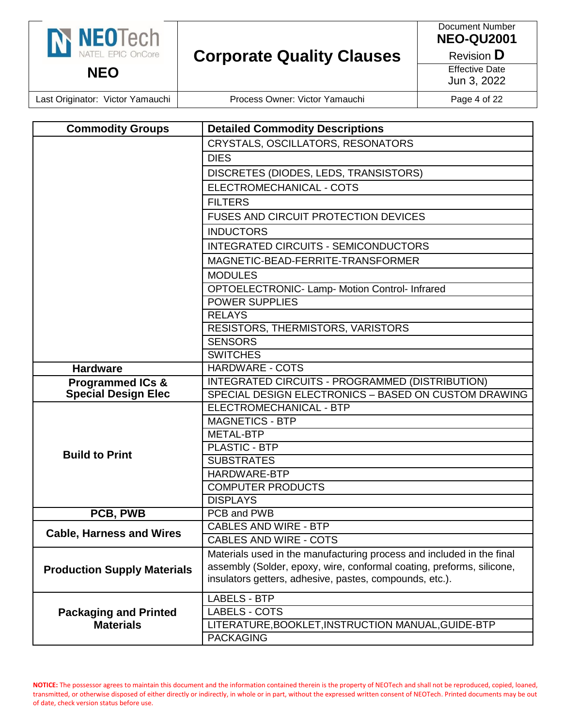| N NEOTECh                        | <b>Corporate Quality Clauses</b> | Document Number<br><b>NEO-QU2001</b><br>Revision <b>D</b> |
|----------------------------------|----------------------------------|-----------------------------------------------------------|
| <b>NEO</b>                       |                                  | <b>Effective Date</b><br>Jun 3, 2022                      |
| Last Originator: Victor Yamauchi | Process Owner: Victor Yamauchi   | Page 4 of 22                                              |

| <b>Commodity Groups</b>            | <b>Detailed Commodity Descriptions</b>                                |
|------------------------------------|-----------------------------------------------------------------------|
|                                    | CRYSTALS, OSCILLATORS, RESONATORS                                     |
|                                    | <b>DIES</b>                                                           |
|                                    | DISCRETES (DIODES, LEDS, TRANSISTORS)                                 |
|                                    | ELECTROMECHANICAL - COTS                                              |
|                                    | <b>FILTERS</b>                                                        |
|                                    | <b>FUSES AND CIRCUIT PROTECTION DEVICES</b>                           |
|                                    | <b>INDUCTORS</b>                                                      |
|                                    | <b>INTEGRATED CIRCUITS - SEMICONDUCTORS</b>                           |
|                                    | MAGNETIC-BEAD-FERRITE-TRANSFORMER                                     |
|                                    | <b>MODULES</b>                                                        |
|                                    | OPTOELECTRONIC- Lamp- Motion Control- Infrared                        |
|                                    | POWER SUPPLIES                                                        |
|                                    | <b>RELAYS</b>                                                         |
|                                    | RESISTORS, THERMISTORS, VARISTORS                                     |
|                                    | <b>SENSORS</b>                                                        |
|                                    | <b>SWITCHES</b>                                                       |
| <b>Hardware</b>                    | <b>HARDWARE - COTS</b>                                                |
| <b>Programmed ICs &amp;</b>        | INTEGRATED CIRCUITS - PROGRAMMED (DISTRIBUTION)                       |
| <b>Special Design Elec</b>         | SPECIAL DESIGN ELECTRONICS - BASED ON CUSTOM DRAWING                  |
|                                    | ELECTROMECHANICAL - BTP                                               |
|                                    | <b>MAGNETICS - BTP</b>                                                |
|                                    | <b>METAL-BTP</b>                                                      |
| <b>Build to Print</b>              | <b>PLASTIC - BTP</b>                                                  |
|                                    | <b>SUBSTRATES</b>                                                     |
|                                    | HARDWARE-BTP                                                          |
|                                    | <b>COMPUTER PRODUCTS</b>                                              |
|                                    | <b>DISPLAYS</b>                                                       |
| PCB, PWB                           | PCB and PWB                                                           |
| <b>Cable, Harness and Wires</b>    | <b>CABLES AND WIRE - BTP</b>                                          |
|                                    | <b>CABLES AND WIRE - COTS</b>                                         |
|                                    | Materials used in the manufacturing process and included in the final |
| <b>Production Supply Materials</b> | assembly (Solder, epoxy, wire, conformal coating, preforms, silicone, |
|                                    | insulators getters, adhesive, pastes, compounds, etc.).               |
|                                    | <b>LABELS - BTP</b>                                                   |
| <b>Packaging and Printed</b>       | LABELS - COTS                                                         |
| <b>Materials</b>                   | LITERATURE, BOOKLET, INSTRUCTION MANUAL, GUIDE-BTP                    |
|                                    | <b>PACKAGING</b>                                                      |
|                                    |                                                                       |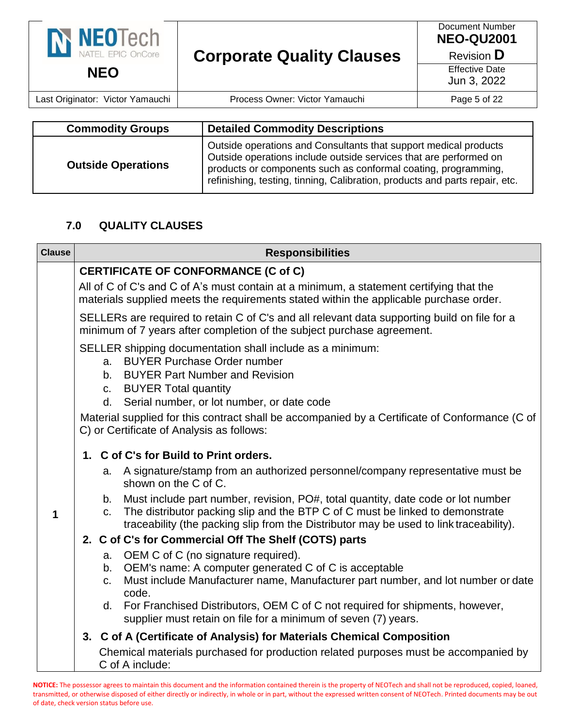| N NEOTech<br>NATEL EPIC OnCore   | <b>Corporate Quality Clauses</b> | Document Number<br><b>NEO-QU2001</b><br>Revision <b>D</b> |
|----------------------------------|----------------------------------|-----------------------------------------------------------|
| <b>NEO</b>                       |                                  | <b>Effective Date</b><br>Jun 3, 2022                      |
| Last Originator: Victor Yamauchi | Process Owner: Victor Yamauchi   | Page 5 of 22                                              |

| <b>Commodity Groups</b>   | <b>Detailed Commodity Descriptions</b>                                                                                                                                                                                                                                                 |
|---------------------------|----------------------------------------------------------------------------------------------------------------------------------------------------------------------------------------------------------------------------------------------------------------------------------------|
| <b>Outside Operations</b> | Outside operations and Consultants that support medical products<br>Outside operations include outside services that are performed on<br>products or components such as conformal coating, programming,<br>refinishing, testing, tinning, Calibration, products and parts repair, etc. |

#### **7.0 QUALITY CLAUSES**

| <b>Clause</b> | <b>Responsibilities</b>                                                                                                                                                                                                                                                                                                            |
|---------------|------------------------------------------------------------------------------------------------------------------------------------------------------------------------------------------------------------------------------------------------------------------------------------------------------------------------------------|
|               | <b>CERTIFICATE OF CONFORMANCE (C of C)</b>                                                                                                                                                                                                                                                                                         |
|               | All of C of C's and C of A's must contain at a minimum, a statement certifying that the<br>materials supplied meets the requirements stated within the applicable purchase order.                                                                                                                                                  |
|               | SELLERs are required to retain C of C's and all relevant data supporting build on file for a<br>minimum of 7 years after completion of the subject purchase agreement.                                                                                                                                                             |
|               | SELLER shipping documentation shall include as a minimum:<br><b>BUYER Purchase Order number</b><br>a.<br><b>BUYER Part Number and Revision</b><br>b.<br>c. BUYER Total quantity<br>d. Serial number, or lot number, or date code<br>Material supplied for this contract shall be accompanied by a Certificate of Conformance (C of |
|               | C) or Certificate of Analysis as follows:                                                                                                                                                                                                                                                                                          |
|               | 1. C of C's for Build to Print orders.                                                                                                                                                                                                                                                                                             |
|               | A signature/stamp from an authorized personnel/company representative must be<br>a.<br>shown on the C of C.                                                                                                                                                                                                                        |
| 1             | b. Must include part number, revision, PO#, total quantity, date code or lot number<br>The distributor packing slip and the BTP C of C must be linked to demonstrate<br>C.<br>traceability (the packing slip from the Distributor may be used to link traceability).                                                               |
|               | 2. C of C's for Commercial Off The Shelf (COTS) parts                                                                                                                                                                                                                                                                              |
|               | a. OEM C of C (no signature required).<br>b. OEM's name: A computer generated C of C is acceptable<br>Must include Manufacturer name, Manufacturer part number, and lot number or date<br>C.<br>code.                                                                                                                              |
|               | d. For Franchised Distributors, OEM C of C not required for shipments, however,<br>supplier must retain on file for a minimum of seven (7) years.                                                                                                                                                                                  |
|               | 3. C of A (Certificate of Analysis) for Materials Chemical Composition                                                                                                                                                                                                                                                             |
|               | Chemical materials purchased for production related purposes must be accompanied by<br>C of A include:                                                                                                                                                                                                                             |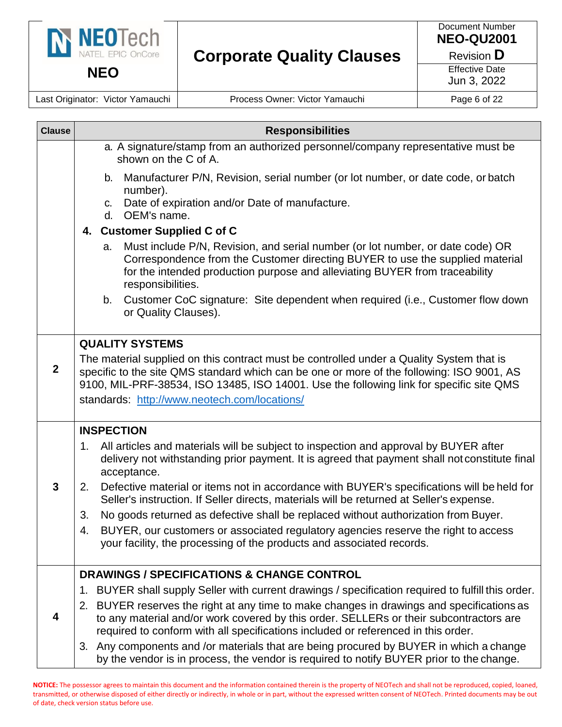

**NEO**

**Corporate Quality Clauses**

Document Number **NEO-QU2001**

Revision **D**

Effective Date Jun 3, 2022

Last Originator: Victor Yamauchi | Process Owner: Victor Yamauchi | Page 6 of 22

| <b>Clause</b>  | <b>Responsibilities</b>                                                                                                                                                                                                                                                                                                          |
|----------------|----------------------------------------------------------------------------------------------------------------------------------------------------------------------------------------------------------------------------------------------------------------------------------------------------------------------------------|
|                | a. A signature/stamp from an authorized personnel/company representative must be<br>shown on the C of A.                                                                                                                                                                                                                         |
|                | Manufacturer P/N, Revision, serial number (or lot number, or date code, or batch<br>b.<br>number).<br>Date of expiration and/or Date of manufacture.<br>C.<br>OEM's name.<br>d.                                                                                                                                                  |
|                | 4. Customer Supplied C of C                                                                                                                                                                                                                                                                                                      |
|                | Must include P/N, Revision, and serial number (or lot number, or date code) OR<br>a.<br>Correspondence from the Customer directing BUYER to use the supplied material<br>for the intended production purpose and alleviating BUYER from traceability<br>responsibilities.                                                        |
|                | Customer CoC signature: Site dependent when required (i.e., Customer flow down<br>b.<br>or Quality Clauses).                                                                                                                                                                                                                     |
|                | <b>QUALITY SYSTEMS</b>                                                                                                                                                                                                                                                                                                           |
| $\overline{2}$ | The material supplied on this contract must be controlled under a Quality System that is<br>specific to the site QMS standard which can be one or more of the following: ISO 9001, AS<br>9100, MIL-PRF-38534, ISO 13485, ISO 14001. Use the following link for specific site QMS<br>standards: http://www.neotech.com/locations/ |
|                | <b>INSPECTION</b>                                                                                                                                                                                                                                                                                                                |
|                | All articles and materials will be subject to inspection and approval by BUYER after<br>1.<br>delivery not withstanding prior payment. It is agreed that payment shall not constitute final<br>acceptance.                                                                                                                       |
| $\mathbf{3}$   | Defective material or items not in accordance with BUYER's specifications will be held for<br>2.<br>Seller's instruction. If Seller directs, materials will be returned at Seller's expense.                                                                                                                                     |
|                | No goods returned as defective shall be replaced without authorization from Buyer.<br>3.                                                                                                                                                                                                                                         |
|                | BUYER, our customers or associated regulatory agencies reserve the right to access<br>4.<br>your facility, the processing of the products and associated records.                                                                                                                                                                |
|                | <b>DRAWINGS / SPECIFICATIONS &amp; CHANGE CONTROL</b>                                                                                                                                                                                                                                                                            |
|                | BUYER shall supply Seller with current drawings / specification required to fulfill this order.<br>1.                                                                                                                                                                                                                            |
|                | 2. BUYER reserves the right at any time to make changes in drawings and specifications as<br>to any material and/or work covered by this order. SELLERs or their subcontractors are<br>required to conform with all specifications included or referenced in this order.                                                         |
|                | 3. Any components and /or materials that are being procured by BUYER in which a change<br>by the vendor is in process, the vendor is required to notify BUYER prior to the change.                                                                                                                                               |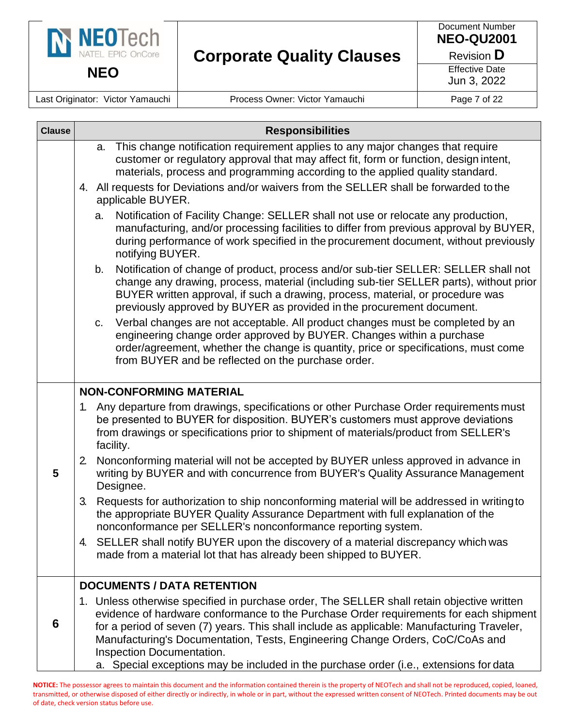

Last Originator: Victor Yamauchi | Process Owner: Victor Yamauchi | Page 7 of 22

| <b>Clause</b> | <b>Responsibilities</b>                                                                                                                                                                                                                                                                                                                                                                                                                                                                   |  |
|---------------|-------------------------------------------------------------------------------------------------------------------------------------------------------------------------------------------------------------------------------------------------------------------------------------------------------------------------------------------------------------------------------------------------------------------------------------------------------------------------------------------|--|
|               | This change notification requirement applies to any major changes that require<br>a.<br>customer or regulatory approval that may affect fit, form or function, design intent,<br>materials, process and programming according to the applied quality standard.<br>4. All requests for Deviations and/or waivers from the SELLER shall be forwarded to the                                                                                                                                 |  |
|               | applicable BUYER.<br>Notification of Facility Change: SELLER shall not use or relocate any production,<br>a.<br>manufacturing, and/or processing facilities to differ from previous approval by BUYER,<br>during performance of work specified in the procurement document, without previously<br>notifying BUYER.                                                                                                                                                                        |  |
|               | Notification of change of product, process and/or sub-tier SELLER: SELLER shall not<br>b.<br>change any drawing, process, material (including sub-tier SELLER parts), without prior<br>BUYER written approval, if such a drawing, process, material, or procedure was<br>previously approved by BUYER as provided in the procurement document.                                                                                                                                            |  |
|               | Verbal changes are not acceptable. All product changes must be completed by an<br>C.<br>engineering change order approved by BUYER. Changes within a purchase<br>order/agreement, whether the change is quantity, price or specifications, must come<br>from BUYER and be reflected on the purchase order.                                                                                                                                                                                |  |
|               | <b>NON-CONFORMING MATERIAL</b>                                                                                                                                                                                                                                                                                                                                                                                                                                                            |  |
|               | 1. Any departure from drawings, specifications or other Purchase Order requirements must<br>be presented to BUYER for disposition. BUYER's customers must approve deviations<br>from drawings or specifications prior to shipment of materials/product from SELLER's<br>facility.                                                                                                                                                                                                         |  |
| 5             | Nonconforming material will not be accepted by BUYER unless approved in advance in<br>2 <sub>1</sub><br>writing by BUYER and with concurrence from BUYER's Quality Assurance Management<br>Designee.                                                                                                                                                                                                                                                                                      |  |
|               | Requests for authorization to ship nonconforming material will be addressed in writing to<br>3.<br>the appropriate BUYER Quality Assurance Department with full explanation of the<br>nonconformance per SELLER's nonconformance reporting system.                                                                                                                                                                                                                                        |  |
|               | 4. SELLER shall notify BUYER upon the discovery of a material discrepancy which was<br>made from a material lot that has already been shipped to BUYER.                                                                                                                                                                                                                                                                                                                                   |  |
|               | <b>DOCUMENTS / DATA RETENTION</b>                                                                                                                                                                                                                                                                                                                                                                                                                                                         |  |
| 6             | 1. Unless otherwise specified in purchase order, The SELLER shall retain objective written<br>evidence of hardware conformance to the Purchase Order requirements for each shipment<br>for a period of seven (7) years. This shall include as applicable: Manufacturing Traveler,<br>Manufacturing's Documentation, Tests, Engineering Change Orders, CoC/CoAs and<br>Inspection Documentation.<br>a. Special exceptions may be included in the purchase order (i.e., extensions for data |  |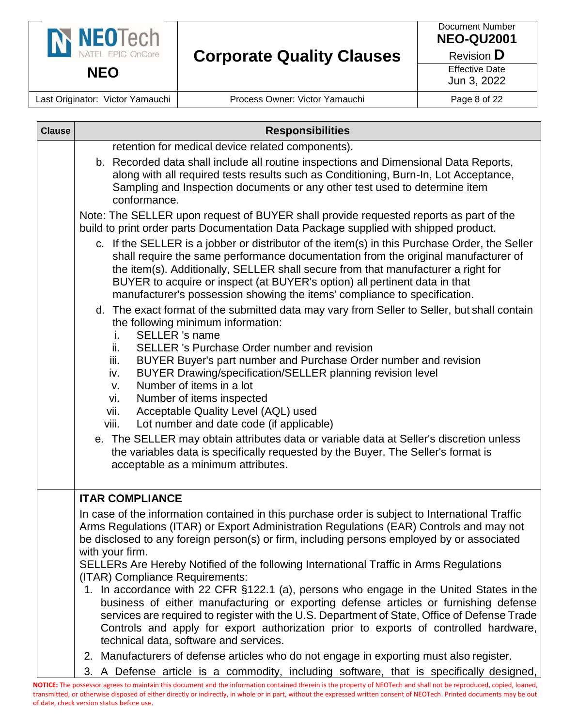

Document Number **NEO-QU2001**

Revision **D**

Effective Date Jun 3, 2022

Last Originator: Victor Yamauchi | Process Owner: Victor Yamauchi | Page 8 of 22

| <b>Clause</b> | <b>Responsibilities</b>                                                                                                                                                                                                                                                                                                                                                                                                                                                                                                                                                                                              |
|---------------|----------------------------------------------------------------------------------------------------------------------------------------------------------------------------------------------------------------------------------------------------------------------------------------------------------------------------------------------------------------------------------------------------------------------------------------------------------------------------------------------------------------------------------------------------------------------------------------------------------------------|
|               | retention for medical device related components).<br>b. Recorded data shall include all routine inspections and Dimensional Data Reports,<br>along with all required tests results such as Conditioning, Burn-In, Lot Acceptance,<br>Sampling and Inspection documents or any other test used to determine item<br>conformance.                                                                                                                                                                                                                                                                                      |
|               | Note: The SELLER upon request of BUYER shall provide requested reports as part of the<br>build to print order parts Documentation Data Package supplied with shipped product.<br>c. If the SELLER is a jobber or distributor of the item(s) in this Purchase Order, the Seller<br>shall require the same performance documentation from the original manufacturer of<br>the item(s). Additionally, SELLER shall secure from that manufacturer a right for<br>BUYER to acquire or inspect (at BUYER's option) all pertinent data in that<br>manufacturer's possession showing the items' compliance to specification. |
|               | d. The exact format of the submitted data may vary from Seller to Seller, but shall contain<br>the following minimum information:<br><b>SELLER</b> 's name<br>i.<br>SELLER 's Purchase Order number and revision<br>ii.<br>iii.<br>BUYER Buyer's part number and Purchase Order number and revision<br>BUYER Drawing/specification/SELLER planning revision level<br>iv.<br>Number of items in a lot<br>V.<br>Number of items inspected<br>vi.<br>Acceptable Quality Level (AQL) used<br>vii.<br>Lot number and date code (if applicable)<br>viii.                                                                   |
|               | e. The SELLER may obtain attributes data or variable data at Seller's discretion unless<br>the variables data is specifically requested by the Buyer. The Seller's format is<br>acceptable as a minimum attributes.                                                                                                                                                                                                                                                                                                                                                                                                  |
|               | <b>ITAR COMPLIANCE</b><br>In case of the information contained in this purchase order is subject to International Traffic<br>Arms Regulations (ITAR) or Export Administration Regulations (EAR) Controls and may not<br>be disclosed to any foreign person(s) or firm, including persons employed by or associated<br>with your firm.                                                                                                                                                                                                                                                                                |
|               | SELLERs Are Hereby Notified of the following International Traffic in Arms Regulations<br>(ITAR) Compliance Requirements:<br>1. In accordance with 22 CFR §122.1 (a), persons who engage in the United States in the<br>business of either manufacturing or exporting defense articles or furnishing defense<br>services are required to register with the U.S. Department of State, Office of Defense Trade<br>Controls and apply for export authorization prior to exports of controlled hardware,<br>technical data, software and services.                                                                       |
|               | 2. Manufacturers of defense articles who do not engage in exporting must also register.<br>3. A Defense article is a commodity, including software, that is specifically designed,                                                                                                                                                                                                                                                                                                                                                                                                                                   |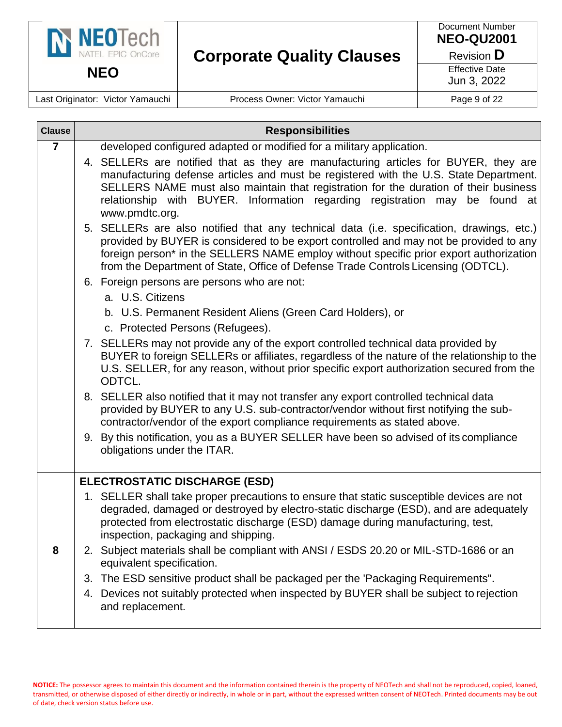

Last Originator: Victor Yamauchi | Process Owner: Victor Yamauchi | Page 9 of 22

| <b>Clause</b>  | <b>Responsibilities</b>                                                                                                                                                                                                                                                                                                                                               |
|----------------|-----------------------------------------------------------------------------------------------------------------------------------------------------------------------------------------------------------------------------------------------------------------------------------------------------------------------------------------------------------------------|
| $\overline{7}$ | developed configured adapted or modified for a military application.                                                                                                                                                                                                                                                                                                  |
|                | 4. SELLERs are notified that as they are manufacturing articles for BUYER, they are<br>manufacturing defense articles and must be registered with the U.S. State Department.<br>SELLERS NAME must also maintain that registration for the duration of their business<br>relationship with BUYER. Information regarding registration may be found at<br>www.pmdtc.org. |
|                | 5. SELLERs are also notified that any technical data (i.e. specification, drawings, etc.)<br>provided by BUYER is considered to be export controlled and may not be provided to any<br>foreign person* in the SELLERS NAME employ without specific prior export authorization<br>from the Department of State, Office of Defense Trade Controls Licensing (ODTCL).    |
|                | 6. Foreign persons are persons who are not:<br>a. U.S. Citizens                                                                                                                                                                                                                                                                                                       |
|                | b. U.S. Permanent Resident Aliens (Green Card Holders), or<br>c. Protected Persons (Refugees).                                                                                                                                                                                                                                                                        |
|                | 7. SELLERs may not provide any of the export controlled technical data provided by<br>BUYER to foreign SELLERs or affiliates, regardless of the nature of the relationship to the<br>U.S. SELLER, for any reason, without prior specific export authorization secured from the<br>ODTCL.                                                                              |
|                | 8. SELLER also notified that it may not transfer any export controlled technical data<br>provided by BUYER to any U.S. sub-contractor/vendor without first notifying the sub-<br>contractor/vendor of the export compliance requirements as stated above.                                                                                                             |
|                | 9. By this notification, you as a BUYER SELLER have been so advised of its compliance<br>obligations under the ITAR.                                                                                                                                                                                                                                                  |
|                | <b>ELECTROSTATIC DISCHARGE (ESD)</b>                                                                                                                                                                                                                                                                                                                                  |
|                | 1. SELLER shall take proper precautions to ensure that static susceptible devices are not<br>degraded, damaged or destroyed by electro-static discharge (ESD), and are adequately<br>protected from electrostatic discharge (ESD) damage during manufacturing, test,<br>inspection, packaging and shipping.                                                           |
| 8              | 2. Subject materials shall be compliant with ANSI / ESDS 20.20 or MIL-STD-1686 or an<br>equivalent specification.                                                                                                                                                                                                                                                     |
|                | 3. The ESD sensitive product shall be packaged per the 'Packaging Requirements".                                                                                                                                                                                                                                                                                      |
|                | 4. Devices not suitably protected when inspected by BUYER shall be subject to rejection<br>and replacement.                                                                                                                                                                                                                                                           |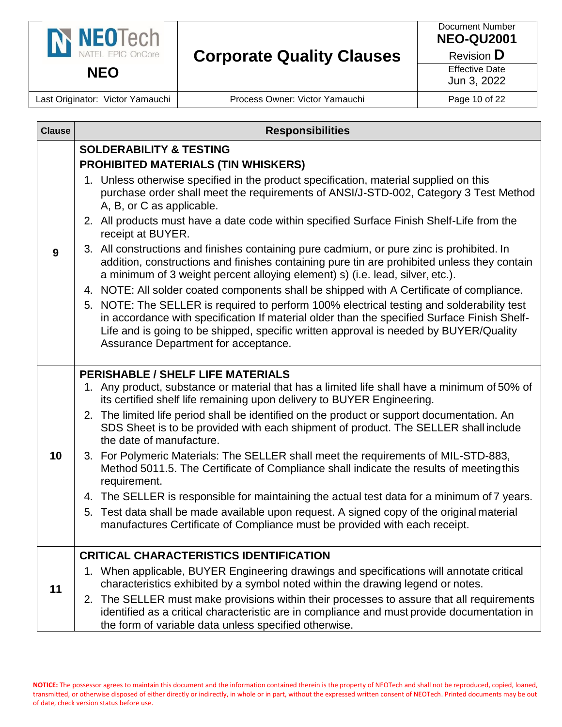

Document Number **NEO-QU2001**

Revision **D**

Effective Date Jun 3, 2022

Last Originator: Victor Yamauchi | Process Owner: Victor Yamauchi | Page 10 of 22

| <b>Clause</b> | <b>Responsibilities</b>                                                                                                                                                                                                                                                                                                   |
|---------------|---------------------------------------------------------------------------------------------------------------------------------------------------------------------------------------------------------------------------------------------------------------------------------------------------------------------------|
|               | <b>SOLDERABILITY &amp; TESTING</b>                                                                                                                                                                                                                                                                                        |
| 9             | <b>PROHIBITED MATERIALS (TIN WHISKERS)</b>                                                                                                                                                                                                                                                                                |
|               | 1. Unless otherwise specified in the product specification, material supplied on this<br>purchase order shall meet the requirements of ANSI/J-STD-002, Category 3 Test Method<br>A, B, or C as applicable.                                                                                                                |
|               | 2. All products must have a date code within specified Surface Finish Shelf-Life from the<br>receipt at BUYER.                                                                                                                                                                                                            |
|               | 3. All constructions and finishes containing pure cadmium, or pure zinc is prohibited. In<br>addition, constructions and finishes containing pure tin are prohibited unless they contain<br>a minimum of 3 weight percent alloying element) s) (i.e. lead, silver, etc.).                                                 |
|               | 4. NOTE: All solder coated components shall be shipped with A Certificate of compliance.                                                                                                                                                                                                                                  |
|               | 5. NOTE: The SELLER is required to perform 100% electrical testing and solderability test<br>in accordance with specification If material older than the specified Surface Finish Shelf-<br>Life and is going to be shipped, specific written approval is needed by BUYER/Quality<br>Assurance Department for acceptance. |
|               |                                                                                                                                                                                                                                                                                                                           |
|               | <b>PERISHABLE / SHELF LIFE MATERIALS</b>                                                                                                                                                                                                                                                                                  |
|               | 1. Any product, substance or material that has a limited life shall have a minimum of 50% of<br>its certified shelf life remaining upon delivery to BUYER Engineering.                                                                                                                                                    |
|               | 2. The limited life period shall be identified on the product or support documentation. An<br>SDS Sheet is to be provided with each shipment of product. The SELLER shall include<br>the date of manufacture.                                                                                                             |
| 10            | 3. For Polymeric Materials: The SELLER shall meet the requirements of MIL-STD-883,<br>Method 5011.5. The Certificate of Compliance shall indicate the results of meeting this<br>requirement.                                                                                                                             |
|               | 4. The SELLER is responsible for maintaining the actual test data for a minimum of 7 years.                                                                                                                                                                                                                               |
|               | 5. Test data shall be made available upon request. A signed copy of the original material<br>manufactures Certificate of Compliance must be provided with each receipt.                                                                                                                                                   |
|               | <b>CRITICAL CHARACTERISTICS IDENTIFICATION</b>                                                                                                                                                                                                                                                                            |
| 11            | 1. When applicable, BUYER Engineering drawings and specifications will annotate critical<br>characteristics exhibited by a symbol noted within the drawing legend or notes.                                                                                                                                               |
|               | The SELLER must make provisions within their processes to assure that all requirements<br>2.<br>identified as a critical characteristic are in compliance and must provide documentation in<br>the form of variable data unless specified otherwise.                                                                      |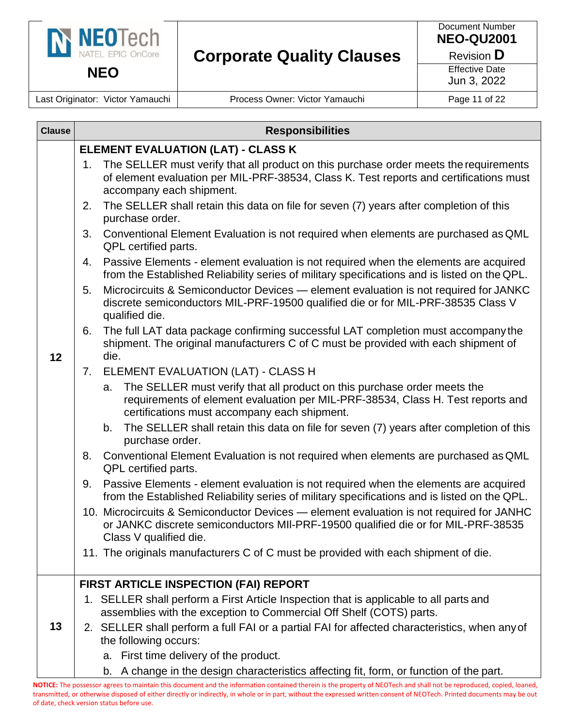

Document Number **NEO-QU2001**

Revision **D**

Effective Date Jun 3, 2022

Last Originator: Victor Yamauchi | Process Owner: Victor Yamauchi | Page 11 of 22

| <b>Clause</b> |    | <b>Responsibilities</b>                                                                                                                                                                                           |
|---------------|----|-------------------------------------------------------------------------------------------------------------------------------------------------------------------------------------------------------------------|
|               |    | ELEMENT EVALUATION (LAT) - CLASS K                                                                                                                                                                                |
|               | 1. | The SELLER must verify that all product on this purchase order meets the requirements<br>of element evaluation per MIL-PRF-38534, Class K. Test reports and certifications must<br>accompany each shipment.       |
|               | 2. | The SELLER shall retain this data on file for seven (7) years after completion of this<br>purchase order.                                                                                                         |
|               | 3. | Conventional Element Evaluation is not required when elements are purchased as QML<br>QPL certified parts.                                                                                                        |
|               | 4. | Passive Elements - element evaluation is not required when the elements are acquired<br>from the Established Reliability series of military specifications and is listed on the QPL.                              |
|               | 5. | Microcircuits & Semiconductor Devices - element evaluation is not required for JANKC<br>discrete semiconductors MIL-PRF-19500 qualified die or for MIL-PRF-38535 Class V<br>qualified die.                        |
| 12            | 6. | The full LAT data package confirming successful LAT completion must accompany the<br>shipment. The original manufacturers C of C must be provided with each shipment of<br>die.                                   |
|               | 7. | ELEMENT EVALUATION (LAT) - CLASS H                                                                                                                                                                                |
|               |    | The SELLER must verify that all product on this purchase order meets the<br>a.<br>requirements of element evaluation per MIL-PRF-38534, Class H. Test reports and<br>certifications must accompany each shipment. |
|               |    | The SELLER shall retain this data on file for seven (7) years after completion of this<br>b.<br>purchase order.                                                                                                   |
|               | 8. | Conventional Element Evaluation is not required when elements are purchased as QML<br>QPL certified parts.                                                                                                        |
|               | 9. | Passive Elements - element evaluation is not required when the elements are acquired<br>from the Established Reliability series of military specifications and is listed on the QPL.                              |
|               |    | 10. Microcircuits & Semiconductor Devices - element evaluation is not required for JANHC<br>or JANKC discrete semiconductors MII-PRF-19500 qualified die or for MIL-PRF-38535<br>Class V qualified die.           |
|               |    | 11. The originals manufacturers C of C must be provided with each shipment of die.                                                                                                                                |
|               |    | FIRST ARTICLE INSPECTION (FAI) REPORT                                                                                                                                                                             |
|               |    | 1. SELLER shall perform a First Article Inspection that is applicable to all parts and<br>assemblies with the exception to Commercial Off Shelf (COTS) parts.                                                     |
| 13            |    | 2. SELLER shall perform a full FAI or a partial FAI for affected characteristics, when any of<br>the following occurs:                                                                                            |
|               |    | First time delivery of the product.<br>а.                                                                                                                                                                         |
|               |    | A change in the design characteristics affecting fit, form, or function of the part.<br>b.                                                                                                                        |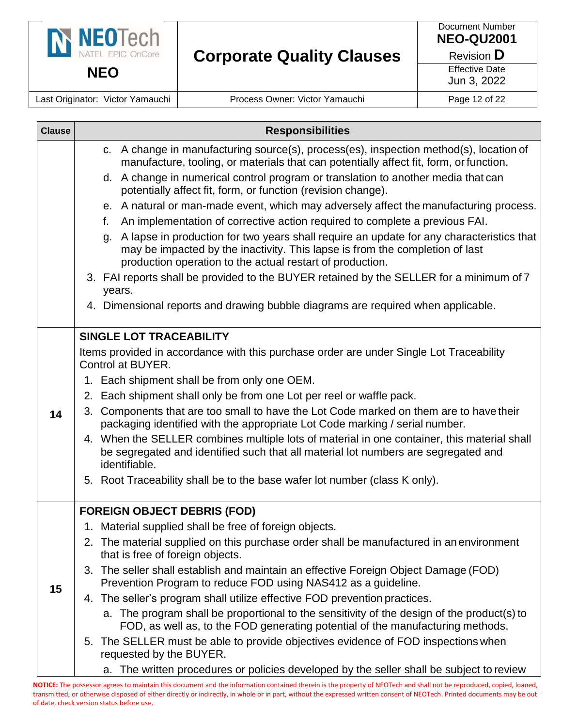

Last Originator: Victor Yamauchi | Process Owner: Victor Yamauchi | Page 12 of 22

| c. A change in manufacturing source(s), process(es), inspection method(s), location of<br>manufacture, tooling, or materials that can potentially affect fit, form, or function.<br>d. A change in numerical control program or translation to another media that can |  |
|-----------------------------------------------------------------------------------------------------------------------------------------------------------------------------------------------------------------------------------------------------------------------|--|
| potentially affect fit, form, or function (revision change).                                                                                                                                                                                                          |  |
| e. A natural or man-made event, which may adversely affect the manufacturing process.<br>An implementation of corrective action required to complete a previous FAI.<br>f.                                                                                            |  |
| A lapse in production for two years shall require an update for any characteristics that<br>g.<br>may be impacted by the inactivity. This lapse is from the completion of last<br>production operation to the actual restart of production.                           |  |
| 3. FAI reports shall be provided to the BUYER retained by the SELLER for a minimum of 7<br>years.                                                                                                                                                                     |  |
| 4. Dimensional reports and drawing bubble diagrams are required when applicable.                                                                                                                                                                                      |  |
| <b>SINGLE LOT TRACEABILITY</b>                                                                                                                                                                                                                                        |  |
| Items provided in accordance with this purchase order are under Single Lot Traceability<br>Control at BUYER.                                                                                                                                                          |  |
| 1. Each shipment shall be from only one OEM.                                                                                                                                                                                                                          |  |
| 2. Each shipment shall only be from one Lot per reel or waffle pack.                                                                                                                                                                                                  |  |
| 3. Components that are too small to have the Lot Code marked on them are to have their<br>14<br>packaging identified with the appropriate Lot Code marking / serial number.                                                                                           |  |
| 4. When the SELLER combines multiple lots of material in one container, this material shall<br>be segregated and identified such that all material lot numbers are segregated and<br>identifiable.                                                                    |  |
| 5. Root Traceability shall be to the base wafer lot number (class K only).                                                                                                                                                                                            |  |
| <b>FOREIGN OBJECT DEBRIS (FOD)</b>                                                                                                                                                                                                                                    |  |
| 1. Material supplied shall be free of foreign objects.                                                                                                                                                                                                                |  |
| 2. The material supplied on this purchase order shall be manufactured in an environment<br>that is free of foreign objects.                                                                                                                                           |  |
| 3. The seller shall establish and maintain an effective Foreign Object Damage (FOD)<br>Prevention Program to reduce FOD using NAS412 as a guideline.<br>15                                                                                                            |  |
| 4. The seller's program shall utilize effective FOD prevention practices.                                                                                                                                                                                             |  |
| a. The program shall be proportional to the sensitivity of the design of the product(s) to<br>FOD, as well as, to the FOD generating potential of the manufacturing methods.                                                                                          |  |
| 5. The SELLER must be able to provide objectives evidence of FOD inspections when<br>requested by the BUYER.                                                                                                                                                          |  |
| a. The written procedures or policies developed by the seller shall be subject to review                                                                                                                                                                              |  |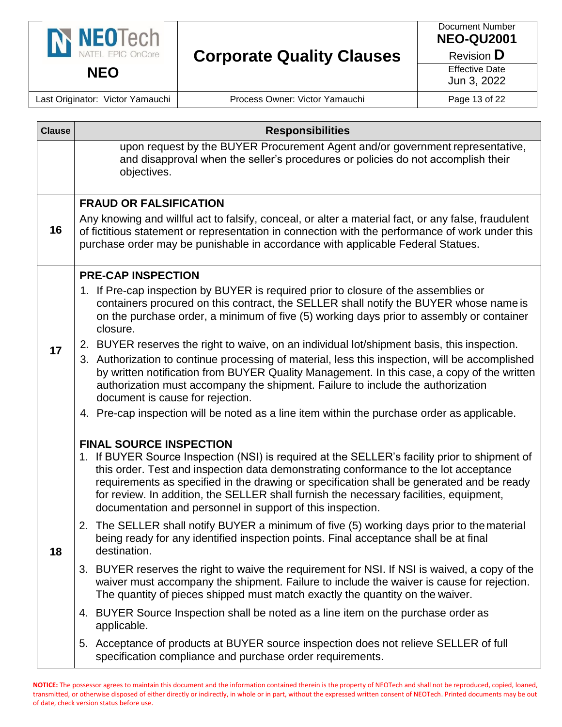

Document Number **NEO-QU2001**

Revision **D**

Effective Date Jun 3, 2022

Last Originator: Victor Yamauchi | Process Owner: Victor Yamauchi | Page 13 of 22

| <b>Clause</b> | <b>Responsibilities</b>                                                                                                                                                                                                                                                                                                                                                                                                                    |
|---------------|--------------------------------------------------------------------------------------------------------------------------------------------------------------------------------------------------------------------------------------------------------------------------------------------------------------------------------------------------------------------------------------------------------------------------------------------|
|               | upon request by the BUYER Procurement Agent and/or government representative,<br>and disapproval when the seller's procedures or policies do not accomplish their<br>objectives.                                                                                                                                                                                                                                                           |
|               | <b>FRAUD OR FALSIFICATION</b>                                                                                                                                                                                                                                                                                                                                                                                                              |
| 16            | Any knowing and willful act to falsify, conceal, or alter a material fact, or any false, fraudulent<br>of fictitious statement or representation in connection with the performance of work under this<br>purchase order may be punishable in accordance with applicable Federal Statues.                                                                                                                                                  |
|               | <b>PRE-CAP INSPECTION</b>                                                                                                                                                                                                                                                                                                                                                                                                                  |
|               | 1. If Pre-cap inspection by BUYER is required prior to closure of the assemblies or<br>containers procured on this contract, the SELLER shall notify the BUYER whose name is<br>on the purchase order, a minimum of five (5) working days prior to assembly or container<br>closure.                                                                                                                                                       |
| 17            | 2. BUYER reserves the right to waive, on an individual lot/shipment basis, this inspection.                                                                                                                                                                                                                                                                                                                                                |
|               | 3. Authorization to continue processing of material, less this inspection, will be accomplished<br>by written notification from BUYER Quality Management. In this case, a copy of the written<br>authorization must accompany the shipment. Failure to include the authorization<br>document is cause for rejection.                                                                                                                       |
|               | 4. Pre-cap inspection will be noted as a line item within the purchase order as applicable.                                                                                                                                                                                                                                                                                                                                                |
|               | <b>FINAL SOURCE INSPECTION</b>                                                                                                                                                                                                                                                                                                                                                                                                             |
| 18            | 1. If BUYER Source Inspection (NSI) is required at the SELLER's facility prior to shipment of<br>this order. Test and inspection data demonstrating conformance to the lot acceptance<br>requirements as specified in the drawing or specification shall be generated and be ready<br>for review. In addition, the SELLER shall furnish the necessary facilities, equipment,<br>documentation and personnel in support of this inspection. |
|               | 2. The SELLER shall notify BUYER a minimum of five (5) working days prior to the material<br>being ready for any identified inspection points. Final acceptance shall be at final<br>destination.                                                                                                                                                                                                                                          |
|               | 3. BUYER reserves the right to waive the requirement for NSI. If NSI is waived, a copy of the<br>waiver must accompany the shipment. Failure to include the waiver is cause for rejection.<br>The quantity of pieces shipped must match exactly the quantity on the waiver.                                                                                                                                                                |
|               | 4. BUYER Source Inspection shall be noted as a line item on the purchase order as<br>applicable.                                                                                                                                                                                                                                                                                                                                           |
|               | 5. Acceptance of products at BUYER source inspection does not relieve SELLER of full<br>specification compliance and purchase order requirements.                                                                                                                                                                                                                                                                                          |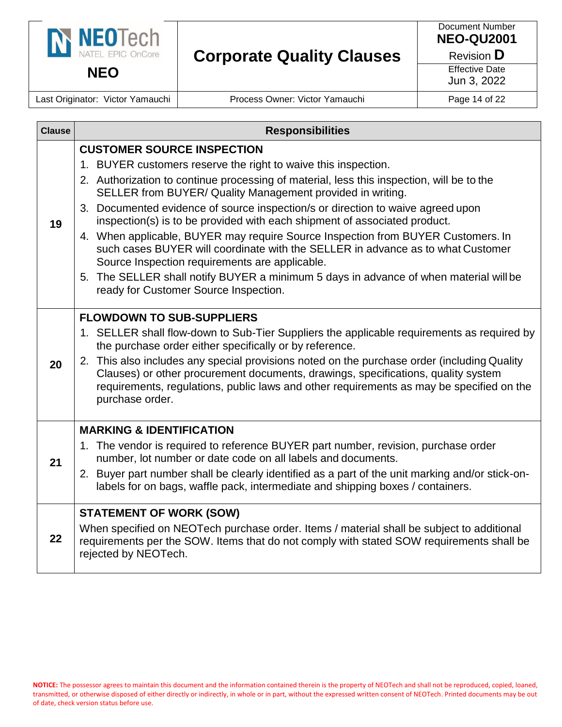

Document Number **NEO-QU2001**

Revision **D**

Effective Date Jun 3, 2022

Last Originator: Victor Yamauchi | Process Owner: Victor Yamauchi | Page 14 of 22

| <b>Clause</b> | <b>Responsibilities</b>                                                                                                                                                                                                                                                                                                                                                                                                                                                                                                                                                                                                                                                                                                                                                                   |
|---------------|-------------------------------------------------------------------------------------------------------------------------------------------------------------------------------------------------------------------------------------------------------------------------------------------------------------------------------------------------------------------------------------------------------------------------------------------------------------------------------------------------------------------------------------------------------------------------------------------------------------------------------------------------------------------------------------------------------------------------------------------------------------------------------------------|
| 19            | <b>CUSTOMER SOURCE INSPECTION</b><br>1. BUYER customers reserve the right to waive this inspection.<br>2. Authorization to continue processing of material, less this inspection, will be to the<br>SELLER from BUYER/ Quality Management provided in writing.<br>3. Documented evidence of source inspection/s or direction to waive agreed upon<br>inspection(s) is to be provided with each shipment of associated product.<br>4. When applicable, BUYER may require Source Inspection from BUYER Customers. In<br>such cases BUYER will coordinate with the SELLER in advance as to what Customer<br>Source Inspection requirements are applicable.<br>5. The SELLER shall notify BUYER a minimum 5 days in advance of when material will be<br>ready for Customer Source Inspection. |
| 20            | <b>FLOWDOWN TO SUB-SUPPLIERS</b><br>1. SELLER shall flow-down to Sub-Tier Suppliers the applicable requirements as required by<br>the purchase order either specifically or by reference.<br>2. This also includes any special provisions noted on the purchase order (including Quality<br>Clauses) or other procurement documents, drawings, specifications, quality system<br>requirements, regulations, public laws and other requirements as may be specified on the<br>purchase order.                                                                                                                                                                                                                                                                                              |
| 21            | <b>MARKING &amp; IDENTIFICATION</b><br>1. The vendor is required to reference BUYER part number, revision, purchase order<br>number, lot number or date code on all labels and documents.<br>2. Buyer part number shall be clearly identified as a part of the unit marking and/or stick-on-<br>labels for on bags, waffle pack, intermediate and shipping boxes / containers.                                                                                                                                                                                                                                                                                                                                                                                                            |
| 22            | <b>STATEMENT OF WORK (SOW)</b><br>When specified on NEOTech purchase order. Items / material shall be subject to additional<br>requirements per the SOW. Items that do not comply with stated SOW requirements shall be<br>rejected by NEOTech.                                                                                                                                                                                                                                                                                                                                                                                                                                                                                                                                           |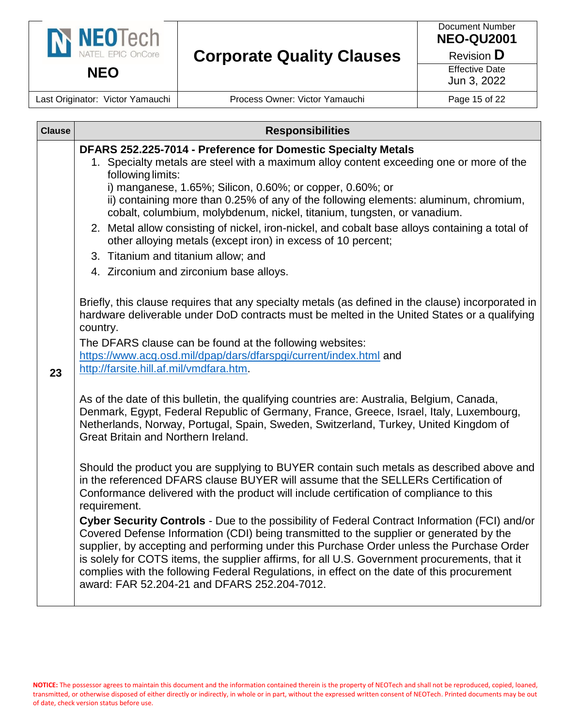

Document Number **NEO-QU2001**

Revision **D**

Effective Date

Jun 3, 2022

Last Originator: Victor Yamauchi | Process Owner: Victor Yamauchi | Page 15 of 22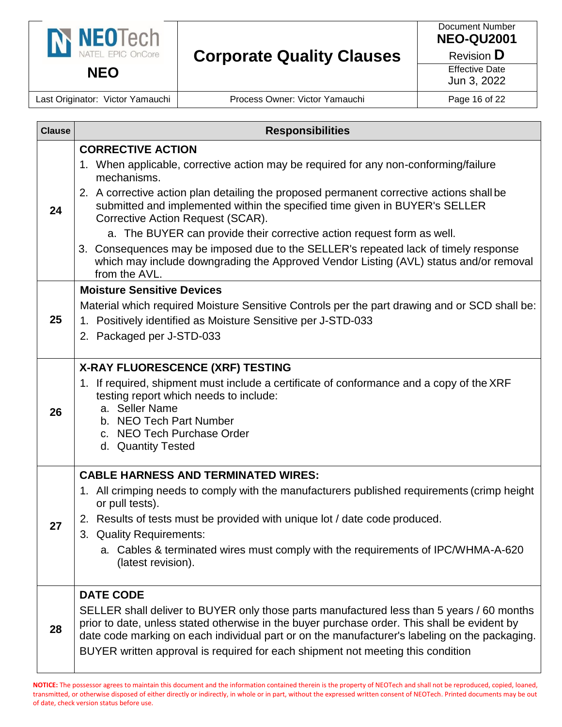

**NEO**

# **Corporate Quality Clauses**

Document Number **NEO-QU2001**

Revision **D**

Effective Date

Jun 3, 2022

Last Originator: Victor Yamauchi | Process Owner: Victor Yamauchi | Page 16 of 22

| <b>Clause</b> | <b>Responsibilities</b>                                                                                                                                                                                                                                                                    |
|---------------|--------------------------------------------------------------------------------------------------------------------------------------------------------------------------------------------------------------------------------------------------------------------------------------------|
| 24            | <b>CORRECTIVE ACTION</b><br>1. When applicable, corrective action may be required for any non-conforming/failure                                                                                                                                                                           |
|               | mechanisms.<br>2. A corrective action plan detailing the proposed permanent corrective actions shall be<br>submitted and implemented within the specified time given in BUYER's SELLER<br>Corrective Action Request (SCAR).                                                                |
|               | a. The BUYER can provide their corrective action request form as well.<br>3. Consequences may be imposed due to the SELLER's repeated lack of timely response<br>which may include downgrading the Approved Vendor Listing (AVL) status and/or removal<br>from the AVL.                    |
|               | <b>Moisture Sensitive Devices</b>                                                                                                                                                                                                                                                          |
|               | Material which required Moisture Sensitive Controls per the part drawing and or SCD shall be:                                                                                                                                                                                              |
| 25            | 1. Positively identified as Moisture Sensitive per J-STD-033                                                                                                                                                                                                                               |
|               | 2. Packaged per J-STD-033                                                                                                                                                                                                                                                                  |
|               | X-RAY FLUORESCENCE (XRF) TESTING                                                                                                                                                                                                                                                           |
|               | 1. If required, shipment must include a certificate of conformance and a copy of the XRF                                                                                                                                                                                                   |
|               | testing report which needs to include:<br>a. Seller Name                                                                                                                                                                                                                                   |
| 26            | b. NEO Tech Part Number                                                                                                                                                                                                                                                                    |
|               | c. NEO Tech Purchase Order                                                                                                                                                                                                                                                                 |
|               | d. Quantity Tested                                                                                                                                                                                                                                                                         |
|               | <b>CABLE HARNESS AND TERMINATED WIRES:</b>                                                                                                                                                                                                                                                 |
|               | 1. All crimping needs to comply with the manufacturers published requirements (crimp height<br>or pull tests).                                                                                                                                                                             |
| 27            | 2. Results of tests must be provided with unique lot / date code produced.<br>3. Quality Requirements:                                                                                                                                                                                     |
|               | a. Cables & terminated wires must comply with the requirements of IPC/WHMA-A-620<br>(latest revision).                                                                                                                                                                                     |
|               | <b>DATE CODE</b>                                                                                                                                                                                                                                                                           |
| 28            | SELLER shall deliver to BUYER only those parts manufactured less than 5 years / 60 months<br>prior to date, unless stated otherwise in the buyer purchase order. This shall be evident by<br>date code marking on each individual part or on the manufacturer's labeling on the packaging. |
|               | BUYER written approval is required for each shipment not meeting this condition                                                                                                                                                                                                            |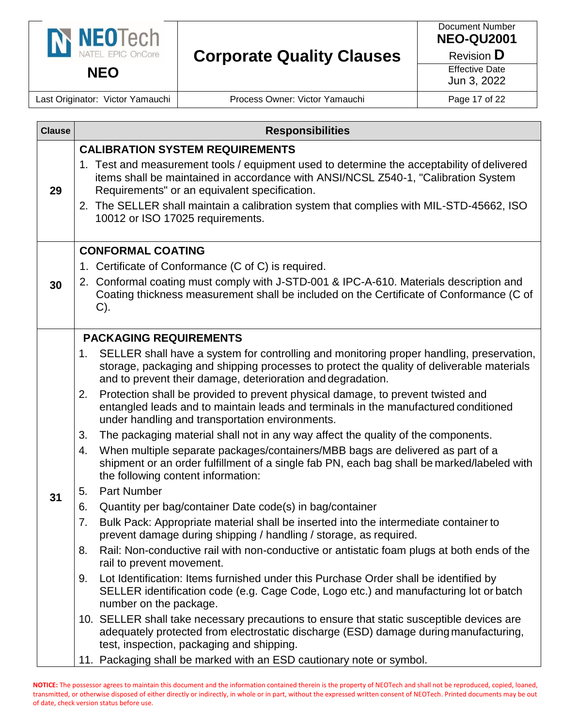

Document Number **NEO-QU2001**

Revision **D**

Effective Date Jun 3, 2022

Last Originator: Victor Yamauchi | Process Owner: Victor Yamauchi | Page 17 of 22

| <b>Clause</b> | <b>Responsibilities</b>                                                                                                                                                                                                                                                                                                                                          |
|---------------|------------------------------------------------------------------------------------------------------------------------------------------------------------------------------------------------------------------------------------------------------------------------------------------------------------------------------------------------------------------|
|               | <b>CALIBRATION SYSTEM REQUIREMENTS</b>                                                                                                                                                                                                                                                                                                                           |
| 29            | 1. Test and measurement tools / equipment used to determine the acceptability of delivered<br>items shall be maintained in accordance with ANSI/NCSL Z540-1, "Calibration System<br>Requirements" or an equivalent specification.<br>2. The SELLER shall maintain a calibration system that complies with MIL-STD-45662, ISO<br>10012 or ISO 17025 requirements. |
|               |                                                                                                                                                                                                                                                                                                                                                                  |
|               | <b>CONFORMAL COATING</b><br>1. Certificate of Conformance (C of C) is required.                                                                                                                                                                                                                                                                                  |
| 30            | 2. Conformal coating must comply with J-STD-001 & IPC-A-610. Materials description and<br>Coating thickness measurement shall be included on the Certificate of Conformance (C of<br>$C$ ).                                                                                                                                                                      |
|               | <b>PACKAGING REQUIREMENTS</b>                                                                                                                                                                                                                                                                                                                                    |
|               | 1. SELLER shall have a system for controlling and monitoring proper handling, preservation,<br>storage, packaging and shipping processes to protect the quality of deliverable materials<br>and to prevent their damage, deterioration and degradation.                                                                                                          |
|               | Protection shall be provided to prevent physical damage, to prevent twisted and<br>2.<br>entangled leads and to maintain leads and terminals in the manufactured conditioned<br>under handling and transportation environments.                                                                                                                                  |
|               | The packaging material shall not in any way affect the quality of the components.<br>3.                                                                                                                                                                                                                                                                          |
|               | When multiple separate packages/containers/MBB bags are delivered as part of a<br>4.<br>shipment or an order fulfillment of a single fab PN, each bag shall be marked/labeled with<br>the following content information:                                                                                                                                         |
| 31            | <b>Part Number</b><br>5.                                                                                                                                                                                                                                                                                                                                         |
|               | Quantity per bag/container Date code(s) in bag/container<br>6.                                                                                                                                                                                                                                                                                                   |
|               | Bulk Pack: Appropriate material shall be inserted into the intermediate container to<br>7.<br>prevent damage during shipping / handling / storage, as required.                                                                                                                                                                                                  |
|               | Rail: Non-conductive rail with non-conductive or antistatic foam plugs at both ends of the<br>8.<br>rail to prevent movement.                                                                                                                                                                                                                                    |
|               | Lot Identification: Items furnished under this Purchase Order shall be identified by<br>9.<br>SELLER identification code (e.g. Cage Code, Logo etc.) and manufacturing lot or batch<br>number on the package.                                                                                                                                                    |
|               | 10. SELLER shall take necessary precautions to ensure that static susceptible devices are<br>adequately protected from electrostatic discharge (ESD) damage during manufacturing,<br>test, inspection, packaging and shipping.                                                                                                                                   |
|               | 11. Packaging shall be marked with an ESD cautionary note or symbol.                                                                                                                                                                                                                                                                                             |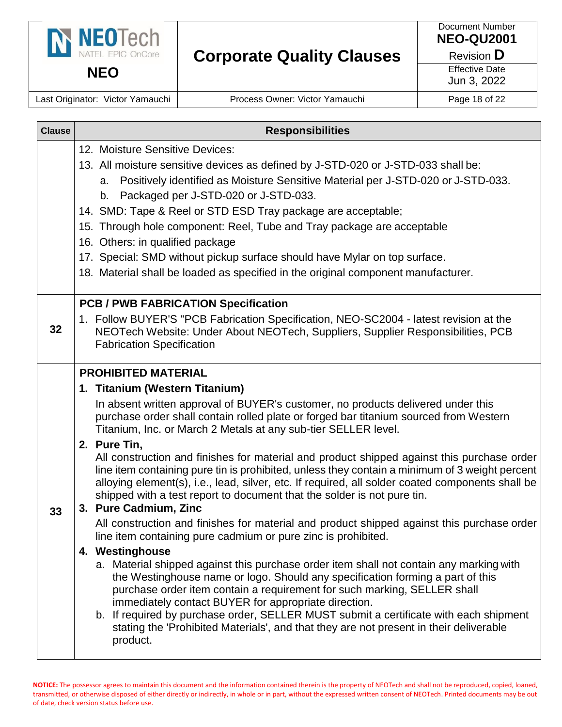

**NEO**

# **Corporate Quality Clauses**

Document Number **NEO-QU2001**

Revision **D**

Effective Date

Jun 3, 2022

Last Originator: Victor Yamauchi | Process Owner: Victor Yamauchi | Page 18 of 22

| <b>Clause</b> | <b>Responsibilities</b>                                                                                                                                                                                                                                                                                                                                                                                                                                                                                                                                                                                                                                                                                                                                                                                                                                                                                                                                                                                                                                                                                                                                                                                                                                                                                                                                                                                                               |
|---------------|---------------------------------------------------------------------------------------------------------------------------------------------------------------------------------------------------------------------------------------------------------------------------------------------------------------------------------------------------------------------------------------------------------------------------------------------------------------------------------------------------------------------------------------------------------------------------------------------------------------------------------------------------------------------------------------------------------------------------------------------------------------------------------------------------------------------------------------------------------------------------------------------------------------------------------------------------------------------------------------------------------------------------------------------------------------------------------------------------------------------------------------------------------------------------------------------------------------------------------------------------------------------------------------------------------------------------------------------------------------------------------------------------------------------------------------|
|               | 12. Moisture Sensitive Devices:<br>13. All moisture sensitive devices as defined by J-STD-020 or J-STD-033 shall be:<br>Positively identified as Moisture Sensitive Material per J-STD-020 or J-STD-033.<br>а.<br>b. Packaged per J-STD-020 or J-STD-033.<br>14. SMD: Tape & Reel or STD ESD Tray package are acceptable;                                                                                                                                                                                                                                                                                                                                                                                                                                                                                                                                                                                                                                                                                                                                                                                                                                                                                                                                                                                                                                                                                                             |
|               | 15. Through hole component: Reel, Tube and Tray package are acceptable<br>16. Others: in qualified package<br>17. Special: SMD without pickup surface should have Mylar on top surface.<br>18. Material shall be loaded as specified in the original component manufacturer.                                                                                                                                                                                                                                                                                                                                                                                                                                                                                                                                                                                                                                                                                                                                                                                                                                                                                                                                                                                                                                                                                                                                                          |
| 32            | <b>PCB / PWB FABRICATION Specification</b><br>1. Follow BUYER'S "PCB Fabrication Specification, NEO-SC2004 - latest revision at the<br>NEOTech Website: Under About NEOTech, Suppliers, Supplier Responsibilities, PCB<br><b>Fabrication Specification</b>                                                                                                                                                                                                                                                                                                                                                                                                                                                                                                                                                                                                                                                                                                                                                                                                                                                                                                                                                                                                                                                                                                                                                                            |
| 33            | <b>PROHIBITED MATERIAL</b><br>1. Titanium (Western Titanium)<br>In absent written approval of BUYER's customer, no products delivered under this<br>purchase order shall contain rolled plate or forged bar titanium sourced from Western<br>Titanium, Inc. or March 2 Metals at any sub-tier SELLER level.<br>2. Pure Tin,<br>All construction and finishes for material and product shipped against this purchase order<br>line item containing pure tin is prohibited, unless they contain a minimum of 3 weight percent<br>alloying element(s), i.e., lead, silver, etc. If required, all solder coated components shall be<br>shipped with a test report to document that the solder is not pure tin.<br>3. Pure Cadmium, Zinc<br>All construction and finishes for material and product shipped against this purchase order<br>line item containing pure cadmium or pure zinc is prohibited.<br>4. Westinghouse<br>a. Material shipped against this purchase order item shall not contain any marking with<br>the Westinghouse name or logo. Should any specification forming a part of this<br>purchase order item contain a requirement for such marking, SELLER shall<br>immediately contact BUYER for appropriate direction.<br>b. If required by purchase order, SELLER MUST submit a certificate with each shipment<br>stating the 'Prohibited Materials', and that they are not present in their deliverable<br>product. |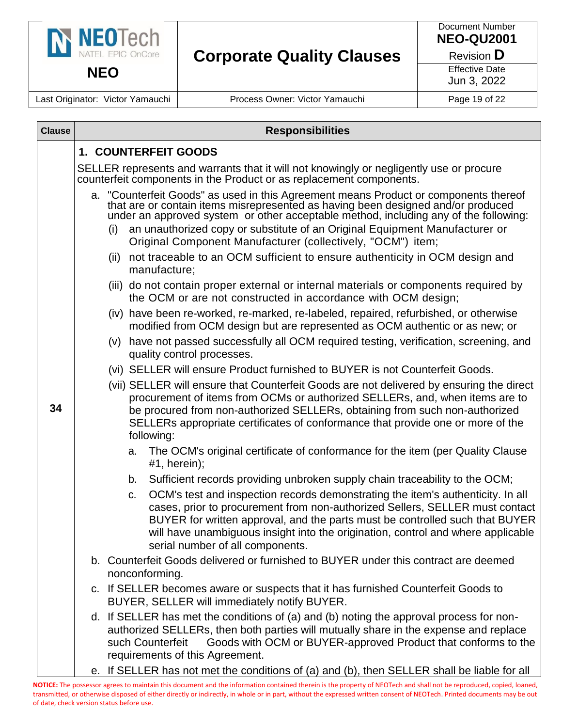

**NEO**

# **Corporate Quality Clauses**

Document Number **NEO-QU2001**

Revision **D**

Effective Date Jun 3, 2022

Last Originator: Victor Yamauchi | Process Owner: Victor Yamauchi | Page 19 of 22

| <b>Clause</b> | <b>Responsibilities</b>                                                                                                                                                                                                                                                                                                                                                       |  |  |
|---------------|-------------------------------------------------------------------------------------------------------------------------------------------------------------------------------------------------------------------------------------------------------------------------------------------------------------------------------------------------------------------------------|--|--|
|               | 1. COUNTERFEIT GOODS                                                                                                                                                                                                                                                                                                                                                          |  |  |
|               | SELLER represents and warrants that it will not knowingly or negligently use or procure<br>counterfeit components in the Product or as replacement components.                                                                                                                                                                                                                |  |  |
|               | a. "Counterfeit Goods" as used in this Agreement means Product or components thereof<br>that are or contain items misrepresented as having been designed and/or produced<br>under an approved system or other acceptable method, including any of the following:                                                                                                              |  |  |
|               | an unauthorized copy or substitute of an Original Equipment Manufacturer or<br>(i)<br>Original Component Manufacturer (collectively, "OCM") item;                                                                                                                                                                                                                             |  |  |
|               | not traceable to an OCM sufficient to ensure authenticity in OCM design and<br>(ii)<br>manufacture;                                                                                                                                                                                                                                                                           |  |  |
|               | (iii) do not contain proper external or internal materials or components required by<br>the OCM or are not constructed in accordance with OCM design;                                                                                                                                                                                                                         |  |  |
| 34            | (iv) have been re-worked, re-marked, re-labeled, repaired, refurbished, or otherwise<br>modified from OCM design but are represented as OCM authentic or as new; or                                                                                                                                                                                                           |  |  |
|               | (v) have not passed successfully all OCM required testing, verification, screening, and<br>quality control processes.                                                                                                                                                                                                                                                         |  |  |
|               | (vi) SELLER will ensure Product furnished to BUYER is not Counterfeit Goods.                                                                                                                                                                                                                                                                                                  |  |  |
|               | (vii) SELLER will ensure that Counterfeit Goods are not delivered by ensuring the direct<br>procurement of items from OCMs or authorized SELLERs, and, when items are to<br>be procured from non-authorized SELLERs, obtaining from such non-authorized<br>SELLERs appropriate certificates of conformance that provide one or more of the<br>following:                      |  |  |
|               | The OCM's original certificate of conformance for the item (per Quality Clause<br>a.<br>$#1$ , herein);                                                                                                                                                                                                                                                                       |  |  |
|               | Sufficient records providing unbroken supply chain traceability to the OCM;<br>b.                                                                                                                                                                                                                                                                                             |  |  |
|               | OCM's test and inspection records demonstrating the item's authenticity. In all<br>C.<br>cases, prior to procurement from non-authorized Sellers, SELLER must contact<br>BUYER for written approval, and the parts must be controlled such that BUYER<br>will have unambiguous insight into the origination, control and where applicable<br>serial number of all components. |  |  |
|               | b. Counterfeit Goods delivered or furnished to BUYER under this contract are deemed<br>nonconforming.                                                                                                                                                                                                                                                                         |  |  |
|               | c. If SELLER becomes aware or suspects that it has furnished Counterfeit Goods to<br>BUYER, SELLER will immediately notify BUYER.                                                                                                                                                                                                                                             |  |  |
|               | d. If SELLER has met the conditions of (a) and (b) noting the approval process for non-<br>authorized SELLERs, then both parties will mutually share in the expense and replace<br>Goods with OCM or BUYER-approved Product that conforms to the<br>such Counterfeit<br>requirements of this Agreement.                                                                       |  |  |
|               | e. If SELLER has not met the conditions of (a) and (b), then SELLER shall be liable for all                                                                                                                                                                                                                                                                                   |  |  |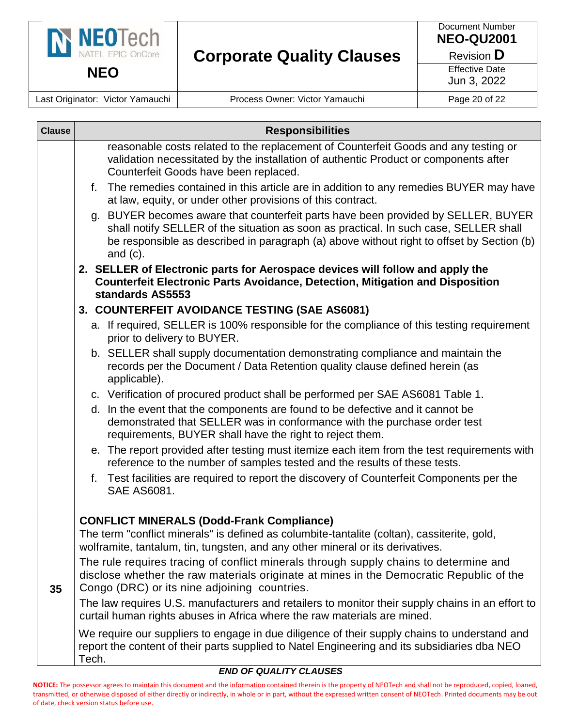

Last Originator: Victor Yamauchi | Process Owner: Victor Yamauchi | Page 20 of 22

| <b>Clause</b>                                    | <b>Responsibilities</b>                                                                                                                                                                                                                                                                |  |  |  |  |  |
|--------------------------------------------------|----------------------------------------------------------------------------------------------------------------------------------------------------------------------------------------------------------------------------------------------------------------------------------------|--|--|--|--|--|
|                                                  | reasonable costs related to the replacement of Counterfeit Goods and any testing or<br>validation necessitated by the installation of authentic Product or components after<br>Counterfeit Goods have been replaced.                                                                   |  |  |  |  |  |
|                                                  | The remedies contained in this article are in addition to any remedies BUYER may have<br>f.<br>at law, equity, or under other provisions of this contract.                                                                                                                             |  |  |  |  |  |
|                                                  | g. BUYER becomes aware that counterfeit parts have been provided by SELLER, BUYER<br>shall notify SELLER of the situation as soon as practical. In such case, SELLER shall<br>be responsible as described in paragraph (a) above without right to offset by Section (b)<br>and $(c)$ . |  |  |  |  |  |
|                                                  | 2. SELLER of Electronic parts for Aerospace devices will follow and apply the<br><b>Counterfeit Electronic Parts Avoidance, Detection, Mitigation and Disposition</b><br>standards AS5553                                                                                              |  |  |  |  |  |
|                                                  | 3. COUNTERFEIT AVOIDANCE TESTING (SAE AS6081)                                                                                                                                                                                                                                          |  |  |  |  |  |
|                                                  | a. If required, SELLER is 100% responsible for the compliance of this testing requirement<br>prior to delivery to BUYER.                                                                                                                                                               |  |  |  |  |  |
|                                                  | b. SELLER shall supply documentation demonstrating compliance and maintain the<br>records per the Document / Data Retention quality clause defined herein (as<br>applicable).                                                                                                          |  |  |  |  |  |
|                                                  | c. Verification of procured product shall be performed per SAE AS6081 Table 1.                                                                                                                                                                                                         |  |  |  |  |  |
|                                                  | d. In the event that the components are found to be defective and it cannot be<br>demonstrated that SELLER was in conformance with the purchase order test<br>requirements, BUYER shall have the right to reject them.                                                                 |  |  |  |  |  |
|                                                  | e. The report provided after testing must itemize each item from the test requirements with<br>reference to the number of samples tested and the results of these tests.                                                                                                               |  |  |  |  |  |
|                                                  | Test facilities are required to report the discovery of Counterfeit Components per the<br>f.<br><b>SAE AS6081.</b>                                                                                                                                                                     |  |  |  |  |  |
| <b>CONFLICT MINERALS (Dodd-Frank Compliance)</b> |                                                                                                                                                                                                                                                                                        |  |  |  |  |  |
| 35                                               | The term "conflict minerals" is defined as columbite-tantalite (coltan), cassiterite, gold,<br>wolframite, tantalum, tin, tungsten, and any other mineral or its derivatives.                                                                                                          |  |  |  |  |  |
|                                                  | The rule requires tracing of conflict minerals through supply chains to determine and<br>disclose whether the raw materials originate at mines in the Democratic Republic of the<br>Congo (DRC) or its nine adjoining countries.                                                       |  |  |  |  |  |
|                                                  | The law requires U.S. manufacturers and retailers to monitor their supply chains in an effort to<br>curtail human rights abuses in Africa where the raw materials are mined.                                                                                                           |  |  |  |  |  |
|                                                  | We require our suppliers to engage in due diligence of their supply chains to understand and<br>report the content of their parts supplied to Natel Engineering and its subsidiaries dba NEO<br>Tech.                                                                                  |  |  |  |  |  |

#### *END OF QUALITY CLAUSES*

**NOTICE:** The possessor agrees to maintain this document and the information contained therein is the property of NEOTech and shall not be reproduced, copied, loaned, transmitted, or otherwise disposed of either directly or indirectly, in whole or in part, without the expressed written consent of NEOTech. Printed documents may be out of date, check version status before use.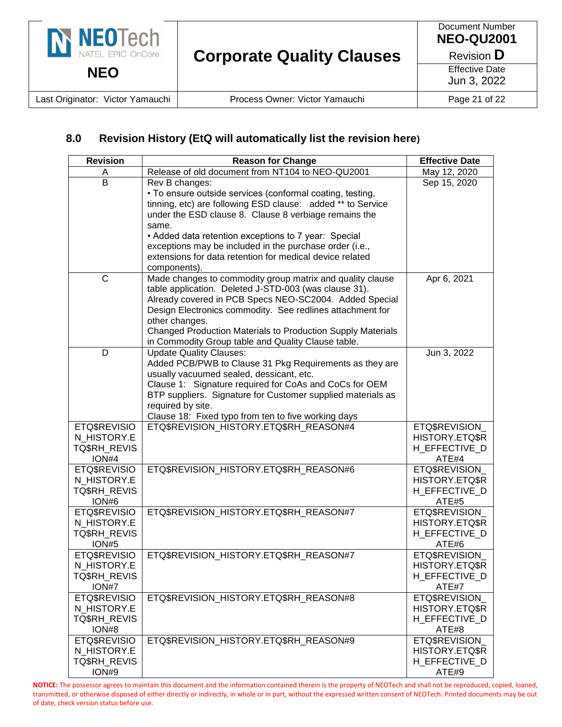

#### **8.0 Revision History (EtQ will automatically list the revision here)**

| <b>Revision</b>       | <b>Reason for Change</b>                                                                                            | <b>Effective Date</b>  |
|-----------------------|---------------------------------------------------------------------------------------------------------------------|------------------------|
| A                     | Release of old document from NT104 to NEO-QU2001                                                                    | May 12, 2020           |
| B                     | Rev B changes:                                                                                                      | Sep 15, 2020           |
|                       | • To ensure outside services (conformal coating, testing,                                                           |                        |
|                       | tinning, etc) are following ESD clause: added ** to Service                                                         |                        |
|                       | under the ESD clause 8. Clause 8 verbiage remains the                                                               |                        |
|                       | same.                                                                                                               |                        |
|                       | • Added data retention exceptions to 7 year: Special                                                                |                        |
|                       | exceptions may be included in the purchase order (i.e.,<br>extensions for data retention for medical device related |                        |
|                       | components).                                                                                                        |                        |
| $\mathsf{C}$          | Made changes to commodity group matrix and quality clause                                                           | Apr 6, 2021            |
|                       | table application. Deleted J-STD-003 (was clause 31).                                                               |                        |
|                       | Already covered in PCB Specs NEO-SC2004. Added Special                                                              |                        |
|                       | Design Electronics commodity. See redlines attachment for                                                           |                        |
|                       | other changes.                                                                                                      |                        |
|                       | Changed Production Materials to Production Supply Materials                                                         |                        |
|                       | in Commodity Group table and Quality Clause table.                                                                  |                        |
| D                     | <b>Update Quality Clauses:</b>                                                                                      | Jun 3, 2022            |
|                       | Added PCB/PWB to Clause 31 Pkg Requirements as they are                                                             |                        |
|                       | usually vacuumed sealed, dessicant, etc.                                                                            |                        |
|                       | Clause 1: Signature required for CoAs and CoCs for OEM                                                              |                        |
|                       | BTP suppliers. Signature for Customer supplied materials as                                                         |                        |
|                       | required by site.                                                                                                   |                        |
| ETQ\$REVISIO          | Clause 18: Fixed typo from ten to five working days<br>ETQ\$REVISION_HISTORY.ETQ\$RH_REASON#4                       | ETQ\$REVISION          |
| N_HISTORY.E           |                                                                                                                     | HISTORY.ETQ\$R         |
| TQ\$RH_REVIS          |                                                                                                                     | H EFFECTIVE D          |
| ION#4                 |                                                                                                                     | ATE#4                  |
| ETQ\$REVISIO          | ETQ\$REVISION_HISTORY.ETQ\$RH_REASON#6                                                                              | ETQ\$REVISION          |
| N_HISTORY.E           |                                                                                                                     | HISTORY.ETQ\$R         |
| TQ\$RH_REVIS          |                                                                                                                     | H_EFFECTIVE_D          |
| ION#6                 |                                                                                                                     | ATE#5                  |
| ETQ\$REVISIO          | ETQ\$REVISION_HISTORY.ETQ\$RH_REASON#7                                                                              | ETQ\$REVISION          |
| N HISTORY.E           |                                                                                                                     | HISTORY.ETQ\$R         |
| TQ\$RH_REVIS          |                                                                                                                     | H_EFFECTIVE_D          |
| <b>ION#5</b>          |                                                                                                                     | ATE#6                  |
| ETQ\$REVISIO          | ETQ\$REVISION_HISTORY.ETQ\$RH_REASON#7                                                                              | ETQ\$REVISION_         |
| N_HISTORY.E           |                                                                                                                     | HISTORY.ETQ\$R         |
| TQ\$RH_REVIS<br>ION#7 |                                                                                                                     | H_EFFECTIVE_D<br>ATE#7 |
| ETQ\$REVISIO          | ETQ\$REVISION HISTORY.ETQ\$RH REASON#8                                                                              | <b>ETQ\$REVISION</b>   |
| N HISTORY.E           |                                                                                                                     | HISTORY.ETQ\$R         |
| <b>TQ\$RH_REVIS</b>   |                                                                                                                     | H_EFFECTIVE_D          |
| ION#8                 |                                                                                                                     | ATE#8                  |
| <b>ETQ\$REVISIO</b>   | ETQ\$REVISION HISTORY.ETQ\$RH REASON#9                                                                              | <b>ETQ\$REVISION</b>   |
| N HISTORY.E           |                                                                                                                     | HISTORY.ETQ\$R         |
| TQ\$RH_REVIS          |                                                                                                                     | H_EFFECTIVE_D          |
| ION#9                 |                                                                                                                     | ATE#9                  |